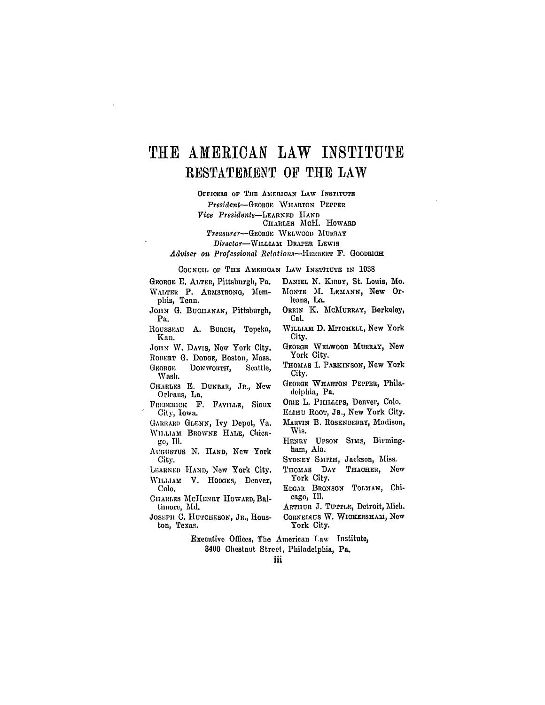## **TilE** AMERICAN LAW INSTITUTE RESTATEMENT OF THE LAW

OrFICERS OF **ThE** AMERICAN LAW **INSTITUTE**

*President-GEoaE* WHARTON PEPPER

*Vice Presidents-LEARNED* **HAND**

CHARLES McH. HOWARD

 $T$ reasurer-GEORGE WELWCOD MURRAY

*Director-WILLIAMt* DRAPER LEWIS

*Adviser on Professional Relations-HERBERT* F. GOODRICH

**CouNCIL** oF THE AMERICAN LAW INSTITUTE IN **1938**

GEORGE **E.** ALTER, Pittsburgh, Pa. WALTER P. ARMSTRONG, Memphis, Tenn.

JOHN G. BUCHANAN, Pittsburgh, Pa.

ROUSSEAU A. BURCH, Topeka, Kan.

JOHN W. DAVIS, New York City. ROBERT G. DODGE, Boston, Mass. GEORGE DONWORTH, Seattle, **Wash.**

- CHARLES **E. DUNBAR,** JR., New Orleans, La.
- FREDERICK **F.** FAVILLE, Sioux City, Iowa.
- GARRARD GLENN, Ivy Depot, Va. WILLIAM BROWNE **HALE,** Chica*go,* Ill.
- AUGUSTUS **N.** HAND, New York City.
- LEARNED HAND, New York City. **WILLIAM** V. **HODGES,** Denver, **Colo.**
- ChARLEs McHENRY HOWARD, Baltimore, Md.
- JOSEPH C. HUTOHESON, JR., Houston, Texas.
- DANIEL **N.** KIRBY, St. Louis, Mo. MONTE M. LEmANN, New Orleans, La.
	- ORRIN K. MCMURRAY, Berkeley, Cal.
- WILLIAM D. MITCHELL, New York City.
- GEORGE WELWOOD MURRAY, New York City.
- THOMAS I. PARKINSON, **Now** York City.
- GEORGE WHARTON PEPPER, Philadelphia, Pa.
- ORIE L. PHILLIPS, Denver, Colo.
- ELIHu RooT, JR., **New** York City.
- MARVIN B. ROSENBERRY, Madison, Wis.
- HENRY UPSON SIms, Birmingham, Ala.
- SYDNEY SMITH, Jackson, Miss.
- THOMAS DAY THACHER, New York City.
- EDGAR BRONSON TOLMAN, Chicago, Ill.
- ARTHUR **J.** TUTTLE, Detroit, Mich. **CORNELAUS W. WICKERSHAM, New**
- York City.

Executive Offices, The American **Law** Institute,

8400 Chestnut Street, Philadelphia, Pa.

iii